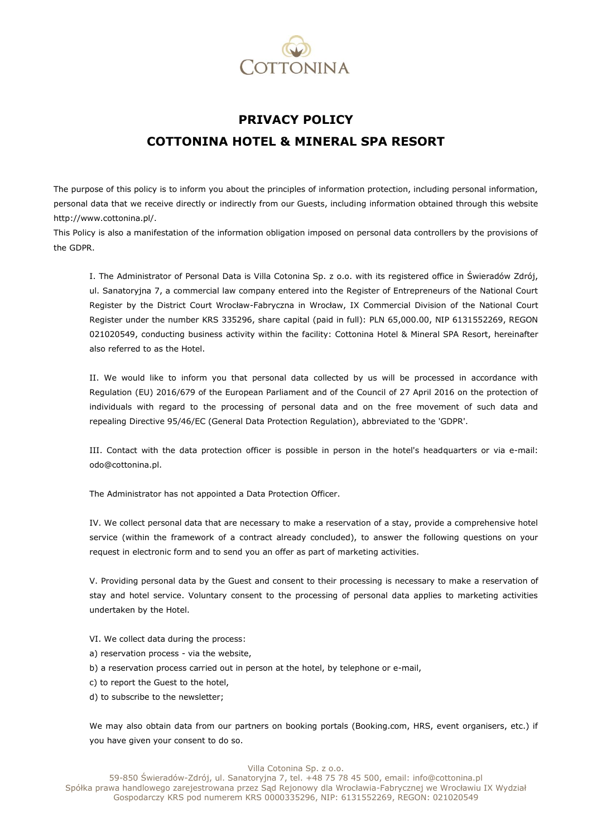

## **PRIVACY POLICY COTTONINA HOTEL & MINERAL SPA RESORT**

The purpose of this policy is to inform you about the principles of information protection, including personal information, personal data that we receive directly or indirectly from our Guests, including information obtained through this website http://www.cottonina.pl/.

This Policy is also a manifestation of the information obligation imposed on personal data controllers by the provisions of the GDPR.

I. The Administrator of Personal Data is Villa Cotonina Sp. z o.o. with its registered office in Świeradów Zdrój, ul. Sanatoryjna 7, a commercial law company entered into the Register of Entrepreneurs of the National Court Register by the District Court Wrocław-Fabryczna in Wrocław, IX Commercial Division of the National Court Register under the number KRS 335296, share capital (paid in full): PLN 65,000.00, NIP 6131552269, REGON 021020549, conducting business activity within the facility: Cottonina Hotel & Mineral SPA Resort, hereinafter also referred to as the Hotel.

II. We would like to inform you that personal data collected by us will be processed in accordance with Regulation (EU) 2016/679 of the European Parliament and of the Council of 27 April 2016 on the protection of individuals with regard to the processing of personal data and on the free movement of such data and repealing Directive 95/46/EC (General Data Protection Regulation), abbreviated to the 'GDPR'.

III. Contact with the data protection officer is possible in person in the hotel's headquarters or via e-mail: odo@cottonina.pl.

The Administrator has not appointed a Data Protection Officer.

IV. We collect personal data that are necessary to make a reservation of a stay, provide a comprehensive hotel service (within the framework of a contract already concluded), to answer the following questions on your request in electronic form and to send you an offer as part of marketing activities.

V. Providing personal data by the Guest and consent to their processing is necessary to make a reservation of stay and hotel service. Voluntary consent to the processing of personal data applies to marketing activities undertaken by the Hotel.

- VI. We collect data during the process:
- a) reservation process via the website,
- b) a reservation process carried out in person at the hotel, by telephone or e-mail,
- c) to report the Guest to the hotel,
- d) to subscribe to the newsletter;

We may also obtain data from our partners on booking portals (Booking.com, HRS, event organisers, etc.) if you have given your consent to do so.

## Villa Cotonina Sp. z o.o.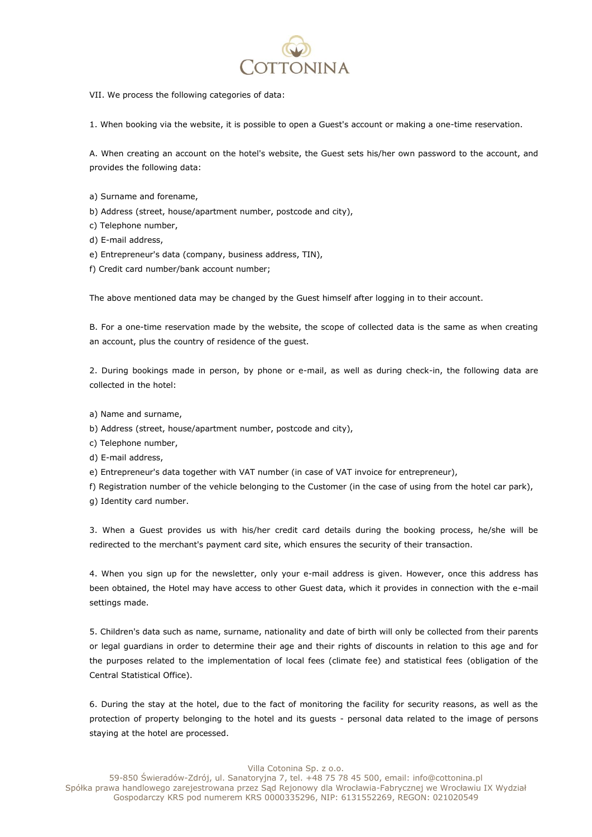

VII. We process the following categories of data:

1. When booking via the website, it is possible to open a Guest's account or making a one-time reservation.

A. When creating an account on the hotel's website, the Guest sets his/her own password to the account, and provides the following data:

- a) Surname and forename,
- b) Address (street, house/apartment number, postcode and city),
- c) Telephone number,
- d) E-mail address,
- e) Entrepreneur's data (company, business address, TIN),
- f) Credit card number/bank account number;

The above mentioned data may be changed by the Guest himself after logging in to their account.

B. For a one-time reservation made by the website, the scope of collected data is the same as when creating an account, plus the country of residence of the guest.

2. During bookings made in person, by phone or e-mail, as well as during check-in, the following data are collected in the hotel:

- a) Name and surname,
- b) Address (street, house/apartment number, postcode and city),
- c) Telephone number,
- d) E-mail address,
- e) Entrepreneur's data together with VAT number (in case of VAT invoice for entrepreneur),
- f) Registration number of the vehicle belonging to the Customer (in the case of using from the hotel car park),
- g) Identity card number.

3. When a Guest provides us with his/her credit card details during the booking process, he/she will be redirected to the merchant's payment card site, which ensures the security of their transaction.

4. When you sign up for the newsletter, only your e-mail address is given. However, once this address has been obtained, the Hotel may have access to other Guest data, which it provides in connection with the e-mail settings made.

5. Children's data such as name, surname, nationality and date of birth will only be collected from their parents or legal guardians in order to determine their age and their rights of discounts in relation to this age and for the purposes related to the implementation of local fees (climate fee) and statistical fees (obligation of the Central Statistical Office).

6. During the stay at the hotel, due to the fact of monitoring the facility for security reasons, as well as the protection of property belonging to the hotel and its guests - personal data related to the image of persons staying at the hotel are processed.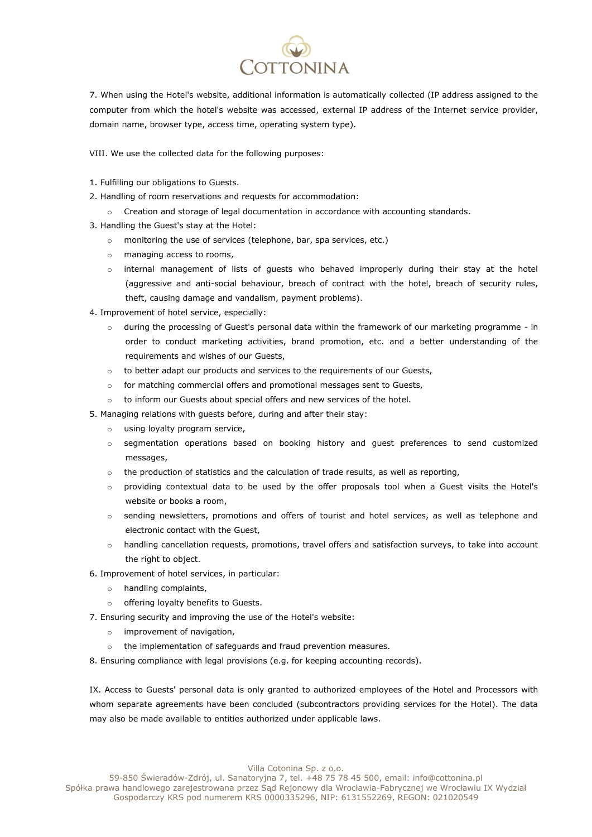

7. When using the Hotel's website, additional information is automatically collected (IP address assigned to the computer from which the hotel's website was accessed, external IP address of the Internet service provider, domain name, browser type, access time, operating system type).

VIII. We use the collected data for the following purposes:

- 1. Fulfilling our obligations to Guests.
- 2. Handling of room reservations and requests for accommodation:
	- Creation and storage of legal documentation in accordance with accounting standards.
- 3. Handling the Guest's stay at the Hotel:
	- o monitoring the use of services (telephone, bar, spa services, etc.)
	- o managing access to rooms,
	- o internal management of lists of guests who behaved improperly during their stay at the hotel (aggressive and anti-social behaviour, breach of contract with the hotel, breach of security rules, theft, causing damage and vandalism, payment problems).
- 4. Improvement of hotel service, especially:
	- o during the processing of Guest's personal data within the framework of our marketing programme in order to conduct marketing activities, brand promotion, etc. and a better understanding of the requirements and wishes of our Guests,
	- $\circ$  to better adapt our products and services to the requirements of our Guests,
	- o for matching commercial offers and promotional messages sent to Guests,
	- o to inform our Guests about special offers and new services of the hotel.
- 5. Managing relations with guests before, during and after their stay:
	- o using loyalty program service,
	- o segmentation operations based on booking history and guest preferences to send customized messages,
	- $\circ$  the production of statistics and the calculation of trade results, as well as reporting,
	- o providing contextual data to be used by the offer proposals tool when a Guest visits the Hotel's website or books a room,
	- o sending newsletters, promotions and offers of tourist and hotel services, as well as telephone and electronic contact with the Guest,
	- o handling cancellation requests, promotions, travel offers and satisfaction surveys, to take into account the right to object.
- 6. Improvement of hotel services, in particular:
	- o handling complaints,
	- o offering loyalty benefits to Guests.
- 7. Ensuring security and improving the use of the Hotel's website:
	- o improvement of navigation,
	- o the implementation of safeguards and fraud prevention measures.

8. Ensuring compliance with legal provisions (e.g. for keeping accounting records).

IX. Access to Guests' personal data is only granted to authorized employees of the Hotel and Processors with whom separate agreements have been concluded (subcontractors providing services for the Hotel). The data may also be made available to entities authorized under applicable laws.

Villa Cotonina Sp. z o.o.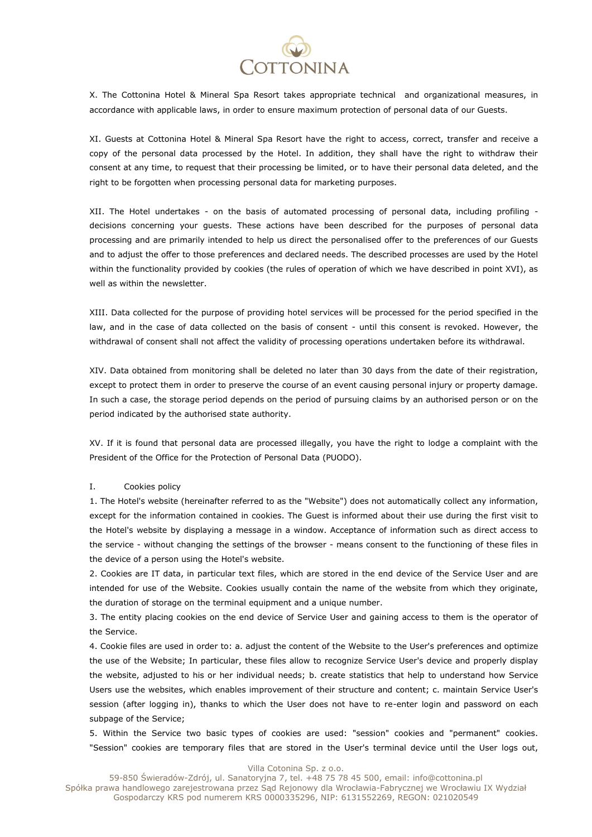

X. The Cottonina Hotel & Mineral Spa Resort takes appropriate technical and organizational measures, in accordance with applicable laws, in order to ensure maximum protection of personal data of our Guests.

XI. Guests at Cottonina Hotel & Mineral Spa Resort have the right to access, correct, transfer and receive a copy of the personal data processed by the Hotel. In addition, they shall have the right to withdraw their consent at any time, to request that their processing be limited, or to have their personal data deleted, and the right to be forgotten when processing personal data for marketing purposes.

XII. The Hotel undertakes - on the basis of automated processing of personal data, including profiling decisions concerning your guests. These actions have been described for the purposes of personal data processing and are primarily intended to help us direct the personalised offer to the preferences of our Guests and to adjust the offer to those preferences and declared needs. The described processes are used by the Hotel within the functionality provided by cookies (the rules of operation of which we have described in point XVI), as well as within the newsletter.

XIII. Data collected for the purpose of providing hotel services will be processed for the period specified in the law, and in the case of data collected on the basis of consent - until this consent is revoked. However, the withdrawal of consent shall not affect the validity of processing operations undertaken before its withdrawal.

XIV. Data obtained from monitoring shall be deleted no later than 30 days from the date of their registration, except to protect them in order to preserve the course of an event causing personal injury or property damage. In such a case, the storage period depends on the period of pursuing claims by an authorised person or on the period indicated by the authorised state authority.

XV. If it is found that personal data are processed illegally, you have the right to lodge a complaint with the President of the Office for the Protection of Personal Data (PUODO).

## I. Cookies policy

1. The Hotel's website (hereinafter referred to as the "Website") does not automatically collect any information, except for the information contained in cookies. The Guest is informed about their use during the first visit to the Hotel's website by displaying a message in a window. Acceptance of information such as direct access to the service - without changing the settings of the browser - means consent to the functioning of these files in the device of a person using the Hotel's website.

2. Cookies are IT data, in particular text files, which are stored in the end device of the Service User and are intended for use of the Website. Cookies usually contain the name of the website from which they originate, the duration of storage on the terminal equipment and a unique number.

3. The entity placing cookies on the end device of Service User and gaining access to them is the operator of the Service.

4. Cookie files are used in order to: a. adjust the content of the Website to the User's preferences and optimize the use of the Website; In particular, these files allow to recognize Service User's device and properly display the website, adjusted to his or her individual needs; b. create statistics that help to understand how Service Users use the websites, which enables improvement of their structure and content; c. maintain Service User's session (after logging in), thanks to which the User does not have to re-enter login and password on each subpage of the Service;

5. Within the Service two basic types of cookies are used: "session" cookies and "permanent" cookies. "Session" cookies are temporary files that are stored in the User's terminal device until the User logs out,